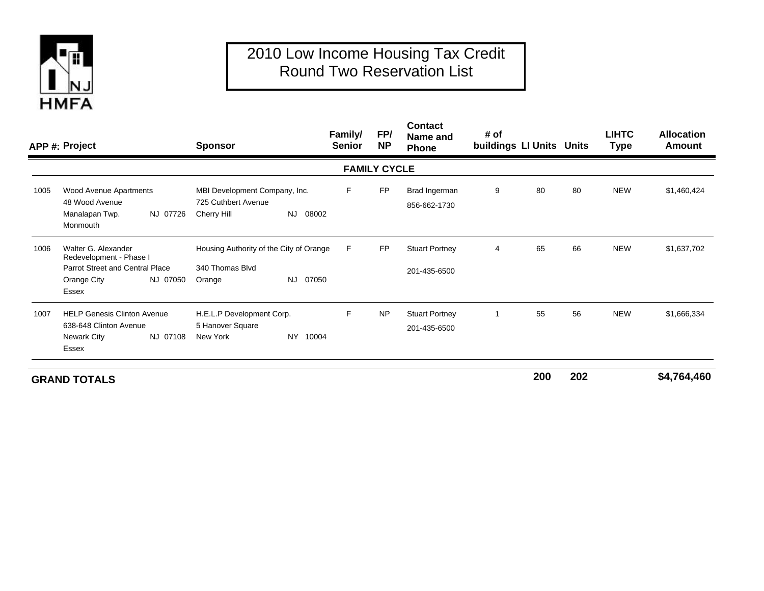

## 2010 Low Income Housing Tax Credit Round Two Reservation List

|      | APP #: Project                                                                                                   |          | <b>Sponsor</b>                                                       |              | Family/<br><b>Senior</b> | FP/<br><b>NP</b>    | <b>Contact</b><br>Name and<br><b>Phone</b> | # of<br>buildings LI Units Units |    |    | <b>LIHTC</b><br><b>Type</b> | <b>Allocation</b><br><b>Amount</b> |
|------|------------------------------------------------------------------------------------------------------------------|----------|----------------------------------------------------------------------|--------------|--------------------------|---------------------|--------------------------------------------|----------------------------------|----|----|-----------------------------|------------------------------------|
|      |                                                                                                                  |          |                                                                      |              |                          | <b>FAMILY CYCLE</b> |                                            |                                  |    |    |                             |                                    |
| 1005 | Wood Avenue Apartments<br>48 Wood Avenue<br>Manalapan Twp.<br>Monmouth                                           | NJ 07726 | MBI Development Company, Inc.<br>725 Cuthbert Avenue<br>Cherry Hill  | NJ 08002     | F                        | <b>FP</b>           | Brad Ingerman<br>856-662-1730              | 9                                | 80 | 80 | <b>NEW</b>                  | \$1,460,424                        |
| 1006 | Walter G. Alexander<br>Redevelopment - Phase I<br><b>Parrot Street and Central Place</b><br>Orange City<br>Essex | NJ 07050 | Housing Authority of the City of Orange<br>340 Thomas Blvd<br>Orange | 07050<br>NJ. | F.                       | <b>FP</b>           | <b>Stuart Portney</b><br>201-435-6500      | 4                                | 65 | 66 | <b>NEW</b>                  | \$1,637,702                        |
| 1007 | <b>HELP Genesis Clinton Avenue</b><br>638-648 Clinton Avenue<br>NJ 07108<br>Newark City<br>Essex                 |          | H.E.L.P Development Corp.<br>5 Hanover Square<br>New York            | NY 10004     | E                        | <b>NP</b>           | <b>Stuart Portney</b><br>201-435-6500      |                                  | 55 | 56 | <b>NEW</b>                  | \$1,666,334                        |
|      |                                                                                                                  |          |                                                                      |              |                          |                     |                                            |                                  |    |    |                             | -----                              |

**GRAND TOTALS**

**<sup>200</sup> <sup>202</sup> \$4,764,460**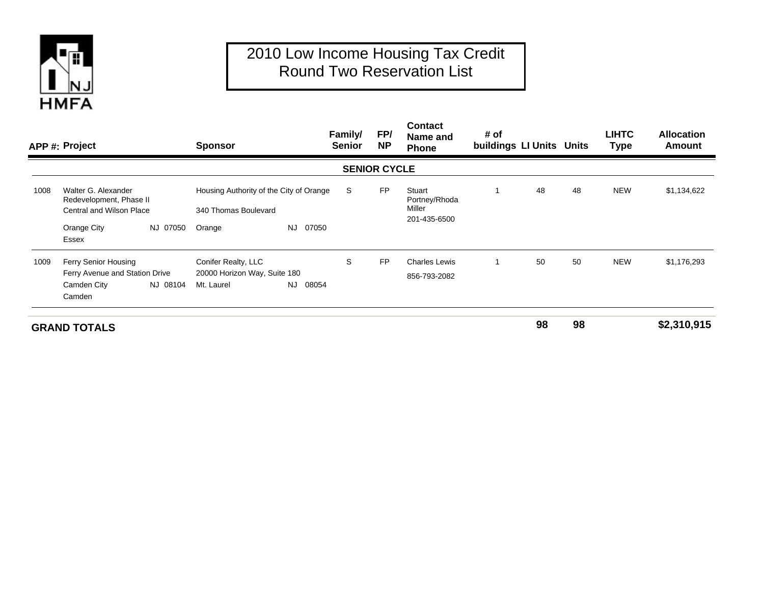

## 2010 Low Income Housing Tax Credit Round Two Reservation List

|      | APP #: Project                                                                    |          | <b>Sponsor</b>                                                  |              | Family/<br><b>Senior</b> | FP/<br><b>NP</b>    | <b>Contact</b><br>Name and<br>Phone               | # of<br>buildings LI Units Units |    |    | <b>LIHTC</b><br><b>Type</b> | <b>Allocation</b><br>Amount |
|------|-----------------------------------------------------------------------------------|----------|-----------------------------------------------------------------|--------------|--------------------------|---------------------|---------------------------------------------------|----------------------------------|----|----|-----------------------------|-----------------------------|
|      |                                                                                   |          |                                                                 |              |                          | <b>SENIOR CYCLE</b> |                                                   |                                  |    |    |                             |                             |
| 1008 | Walter G. Alexander<br>Redevelopment, Phase II<br><b>Central and Wilson Place</b> |          | Housing Authority of the City of Orange<br>340 Thomas Boulevard |              | S                        | <b>FP</b>           | Stuart<br>Portney/Rhoda<br>Miller<br>201-435-6500 |                                  | 48 | 48 | <b>NEW</b>                  | \$1,134,622                 |
|      |                                                                                   |          |                                                                 |              |                          |                     |                                                   |                                  |    |    |                             |                             |
|      | Orange City                                                                       | NJ 07050 | Orange                                                          | 07050<br>NJ. |                          |                     |                                                   |                                  |    |    |                             |                             |
|      | Essex                                                                             |          |                                                                 |              |                          |                     |                                                   |                                  |    |    |                             |                             |
| 1009 | Ferry Senior Housing                                                              |          | Conifer Realty, LLC                                             |              | S                        | <b>FP</b>           | <b>Charles Lewis</b>                              |                                  | 50 | 50 | <b>NEW</b>                  | \$1,176,293                 |
|      | Ferry Avenue and Station Drive                                                    |          | 20000 Horizon Way, Suite 180                                    |              |                          |                     | 856-793-2082                                      |                                  |    |    |                             |                             |
|      | Camden City                                                                       | NJ 08104 | Mt. Laurel                                                      | 08054<br>NJ. |                          |                     |                                                   |                                  |    |    |                             |                             |
|      | Camden                                                                            |          |                                                                 |              |                          |                     |                                                   |                                  |    |    |                             |                             |
|      | <b>GRAND TOTALS</b>                                                               |          |                                                                 |              |                          |                     |                                                   |                                  | 98 | 98 |                             | \$2,310,915                 |